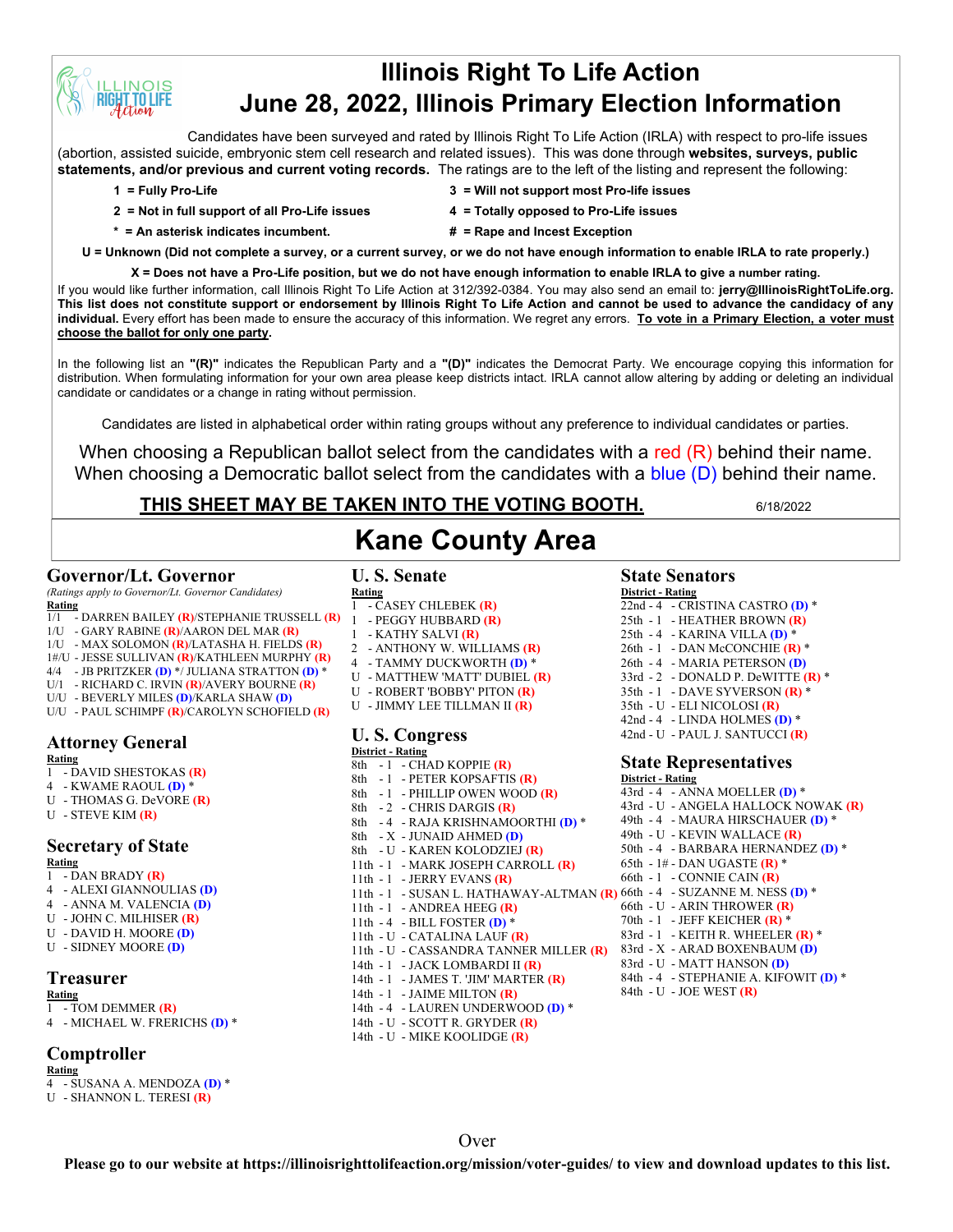# **Illinois Right To Life Action June 28, 2022, Illinois Primary Election Information**

Candidates have been surveyed and rated by Illinois Right To Life Action (IRLA) with respect to pro-life issues (abortion, assisted suicide, embryonic stem cell research and related issues). This was done through **websites, surveys, public statements, and/or previous and current voting records.** The ratings are to the left of the listing and represent the following:

**INOIS TO LIFE** 

- **2 = Not in full support of all Pro-Life issues 4 = Totally opposed to Pro-Life issues**
- **1 = Fully Pro-Life 3 = Will not support most Pro-life issues**
	-
- 
- 
- **\* = An asterisk indicates incumbent. # = Rape and Incest Exception**

**U = Unknown (Did not complete a survey, or a current survey, or we do not have enough information to enable IRLA to rate properly.)**

**X = Does not have a Pro-Life position, but we do not have enough information to enable IRLA to give a number rating.**  If you would like further information, call Illinois Right To Life Action at 312/392-0384. You may also send an email to: **jerry@IllinoisRightToLife.org. This list does not constitute support or endorsement by Illinois Right To Life Action and cannot be used to advance the candidacy of any individual.** Every effort has been made to ensure the accuracy of this information. We regret any errors. **To vote in a Primary Election, a voter must choose the ballot for only one party.**

In the following list an **"(R)"** indicates the Republican Party and a **"(D)"** indicates the Democrat Party. We encourage copying this information for distribution. When formulating information for your own area please keep districts intact. IRLA cannot allow altering by adding or deleting an individual candidate or candidates or a change in rating without permission.

Candidates are listed in alphabetical order within rating groups without any preference to individual candidates or parties.

When choosing a Republican ballot select from the candidates with a red (R) behind their name. When choosing a Democratic ballot select from the candidates with a blue (D) behind their name.

**Kane County Area**

# **THIS SHEET MAY BE TAKEN INTO THE VOTING BOOTH.** 6/18/2022

# **Governor/Lt. Governor**

*(Ratings apply to Governor/Lt. Governor Candidates)* **Rating**

- 1/1 DARREN BAILEY **(R)**/STEPHANIE TRUSSELL **(R)**
- 1/U GARY RABINE **(R)**/AARON DEL MAR **(R)**
- 1/U MAX SOLOMON **(R)**/LATASHA H. FIELDS **(R)**
- 1#/U JESSE SULLIVAN **(R)**/KATHLEEN MURPHY **(R)**
- 4/4 JB PRITZKER **(D)** \*/ JULIANA STRATTON **(D)** \*
- U/1 RICHARD C. IRVIN **(R)**/AVERY BOURNE **(R)**
- U/U BEVERLY MILES **(D)**/KARLA SHAW **(D)**
- U/U PAUL SCHIMPF **(R)**/CAROLYN SCHOFIELD **(R)**

### **Attorney General**

- **Rating**
- 1 DAVID SHESTOKAS **(R)**
- 4 KWAME RAOUL **(D)** \*
- U THOMAS G. DeVORE **(R)**
- U STEVE KIM **(R)**

#### **Secretary of State Rating**

- 1 DAN BRADY **(R)**
- 4 ALEXI GIANNOULIAS **(D)**
- 4 ANNA M. VALENCIA **(D)**
- U JOHN C. MILHISER **(R)**
- U DAVID H. MOORE **(D)**
- U SIDNEY MOORE **(D)**

### **Treasurer**

- **Rating** 1 - TOM DEMMER **(R)**
- 4 MICHAEL W. FRERICHS **(D)** \*

# **Comptroller**

- **Rating**
- 4 SUSANA A. MENDOZA **(D)** \*
- U SHANNON L. TERESI **(R)**

# **U. S. Senate**

- **Rating** 1 - CASEY CHLEBEK **(R)**
- 1 PEGGY HUBBARD **(R)**
- 1 KATHY SALVI **(R)**
- 2 ANTHONY W. WILLIAMS **(R)**
- 4 TAMMY DUCKWORTH **(D)** \*
- U MATTHEW 'MATT' DUBIEL **(R)**
- U ROBERT 'BOBBY' PITON **(R)**
- U JIMMY LEE TILLMAN II **(R)**

#### **U. S. Congress District - Rating**

- $8th$  1 CHAD KOPPIE (R) 8th - 1 - PETER KOPSAFTIS **(R)** 8th - 1 - PHILLIP OWEN WOOD **(R)** 8th - 2 - CHRIS DARGIS **(R)** 8th - 4 - RAJA KRISHNAMOORTHI **(D)** \* 8th - X - JUNAID AHMED **(D)** 8th - U - KAREN KOLODZIEJ **(R)** 11th - 1 - MARK JOSEPH CARROLL **(R)** 11th - 1 - JERRY EVANS **(R)** 11th - 1 - SUSAN L. HATHAWAY-ALTMAN **(R)** 66th - 4 - SUZANNE M. NESS **(D)** \* 11th - 1 - ANDREA HEEG **(R)** 11th - 4 - BILL FOSTER **(D)** \* 11th - U - CATALINA LAUF **(R)** 11th - U - CASSANDRA TANNER MILLER **(R)** 14th - 1 - JACK LOMBARDI II **(R)** 14th - 1 - JAMES T. 'JIM' MARTER **(R)** 14th - 1 - JAIME MILTON **(R)** 14th - 4 - LAUREN UNDERWOOD **(D)** \* 14th - U - SCOTT R. GRYDER **(R)**
- 14th U MIKE KOOLIDGE **(R)**

# **State Senators**

#### **District - Rating**

22nd - 4 - CRISTINA CASTRO (D)<sup>\*</sup> 25th - 1 - HEATHER BROWN **(R)** 25th - 4 - KARINA VILLA **(D)** \* 26th - 1 - DAN McCONCHIE **(R)** \* 26th - 4 - MARIA PETERSON **(D)** 33rd - 2 - DONALD P. DeWITTE **(R)** \* 35th - 1 - DAVE SYVERSON **(R)** \* 35th - U - ELI NICOLOSI **(R)** 42nd - 4 - LINDA HOLMES **(D)** \* 42nd - U - PAUL J. SANTUCCI **(R)**

### **State Representatives**

**District - Rating** 43rd - 4 - ANNA MOELLER **(D)** \* 43rd - U - ANGELA HALLOCK NOWAK **(R)** 49th - 4 - MAURA HIRSCHAUER **(D)** \* 49th - U - KEVIN WALLACE **(R)** 50th - 4 - BARBARA HERNANDEZ **(D)** \* 65th - 1# - DAN UGASTE **(R)** \* 66th - 1 - CONNIE CAIN **(R)** 66th - U - ARIN THROWER **(R)** 70th - 1 - JEFF KEICHER **(R)** \* 83rd - 1 - KEITH R. WHEELER **(R)** \* 83rd - X - ARAD BOXENBAUM **(D)** 83rd - U - MATT HANSON **(D)** 84th - 4 - STEPHANIE A. KIFOWIT **(D)** \* 84th - U - JOE WEST **(R)**

Over